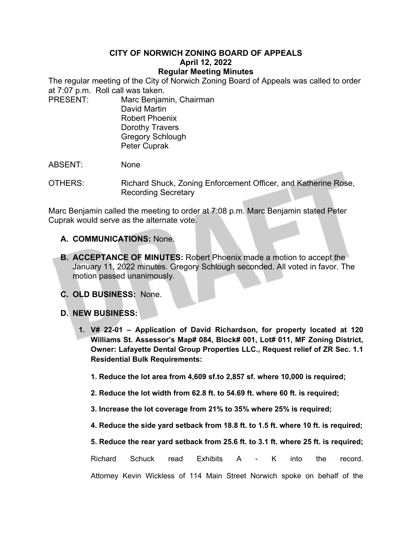## **CITY OF NORWICH ZONING BOARD OF APPEALS April 12, 2022 Regular Meeting Minutes**

The regular meeting of the City of Norwich Zoning Board of Appeals was called to order at 7:07 p.m. Roll call was taken.

PRESENT: Marc Benjamin, Chairman David Martin Robert Phoenix Dorothy Travers Gregory Schlough Peter Cuprak

ABSENT: None

OTHERS: Richard Shuck, Zoning Enforcement Officer, and Katherine Rose, Recording Secretary

Marc Benjamin called the meeting to order at 7:08 p.m. Marc Benjamin stated Peter Cuprak would serve as the alternate vote.

- **A. COMMUNICATIONS:** None.
- **B. ACCEPTANCE OF MINUTES:** Robert Phoenix made a motion to accept the January 11, 2022 minutes. Gregory Schlough seconded. All voted in favor. The motion passed unanimously.
- **C. OLD BUSINESS:** None.
- **D. NEW BUSINESS:**
	- **1. V# 22-01 Application of David Richardson, for property located at 120 Williams St. Assessor's Map# 084, Block# 001, Lot# 011, MF Zoning District, Owner: Lafayette Dental Group Properties LLC., Request relief of ZR Sec. 1.1 Residential Bulk Requirements:**
		- **1. Reduce the lot area from 4,609 sf.to 2,857 sf. where 10,000 is required;**
		- **2. Reduce the lot width from 62.8 ft. to 54.69 ft. where 60 ft. is required;**
		- **3. Increase the lot coverage from 21% to 35% where 25% is required;**
		- **4. Reduce the side yard setback from 18.8 ft. to 1.5 ft. where 10 ft. is required;**

|  |  |  |  |  |  |  |  |  |  |  |  | 5. Reduce the rear yard setback from 25.6 ft. to 3.1 ft. where 25 ft. is required; |  |
|--|--|--|--|--|--|--|--|--|--|--|--|------------------------------------------------------------------------------------|--|
|--|--|--|--|--|--|--|--|--|--|--|--|------------------------------------------------------------------------------------|--|

Richard Schuck read Exhibits A - K into the record.

Attorney Kevin Wickless of 114 Main Street Norwich spoke on behalf of the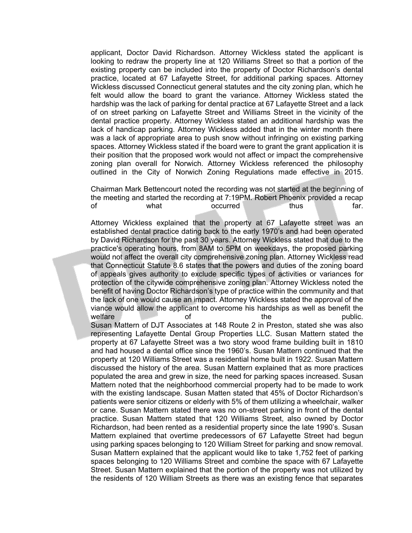applicant, Doctor David Richardson. Attorney Wickless stated the applicant is looking to redraw the property line at 120 Williams Street so that a portion of the existing property can be included into the property of Doctor Richardson's dental practice, located at 67 Lafayette Street, for additional parking spaces. Attorney Wickless discussed Connecticut general statutes and the city zoning plan, which he felt would allow the board to grant the variance. Attorney Wickless stated the hardship was the lack of parking for dental practice at 67 Lafayette Street and a lack of on street parking on Lafayette Street and Williams Street in the vicinity of the dental practice property. Attorney Wickless stated an additional hardship was the lack of handicap parking. Attorney Wickless added that in the winter month there was a lack of appropriate area to push snow without infringing on existing parking spaces. Attorney Wickless stated if the board were to grant the grant application it is their position that the proposed work would not affect or impact the comprehensive zoning plan overall for Norwich. Attorney Wickless referenced the philosophy outlined in the City of Norwich Zoning Regulations made effective in 2015.

Chairman Mark Bettencourt noted the recording was not started at the beginning of the meeting and started the recording at 7:19PM. Robert Phoenix provided a recap of what occurred thus far.

Attorney Wickless explained that the property at 67 Lafayette street was an established dental practice dating back to the early 1970's and had been operated by David Richardson for the past 30 years. Attorney Wickless stated that due to the practice's operating hours, from 8AM to 5PM on weekdays, the proposed parking would not affect the overall city comprehensive zoning plan. Attorney Wickless read that Connecticut Statute 8.6 states that the powers and duties of the zoning board of appeals gives authority to exclude specific types of activities or variances for protection of the citywide comprehensive zoning plan. Attorney Wickless noted the benefit of having Doctor Richardson's type of practice within the community and that the lack of one would cause an impact. Attorney Wickless stated the approval of the viance would allow the applicant to overcome his hardships as well as benefit the welfare **the public.** The public of the public of the public. Susan Mattern of DJT Associates at 148 Route 2 in Preston, stated she was also representing Lafayette Dental Group Properties LLC. Susan Mattern stated the property at 67 Lafayette Street was a two story wood frame building built in 1810 and had housed a dental office since the 1960's. Susan Mattern continued that the property at 120 Williams Street was a residential home built in 1922. Susan Mattern discussed the history of the area. Susan Mattern explained that as more practices populated the area and grew in size, the need for parking spaces increased. Susan Mattern noted that the neighborhood commercial property had to be made to work with the existing landscape. Susan Matten stated that 45% of Doctor Richardson's patients were senior citizens or elderly with 5% of them utilizing a wheelchair, walker or cane. Susan Mattern stated there was no on-street parking in front of the dental practice. Susan Mattern stated that 120 Williams Street, also owned by Doctor Richardson, had been rented as a residential property since the late 1990's. Susan Mattern explained that overtime predecessors of 67 Lafayette Street had begun using parking spaces belonging to 120 William Street for parking and snow removal. Susan Mattern explained that the applicant would like to take 1,752 feet of parking spaces belonging to 120 Williams Street and combine the space with 67 Lafayette Street. Susan Mattern explained that the portion of the property was not utilized by the residents of 120 William Streets as there was an existing fence that separates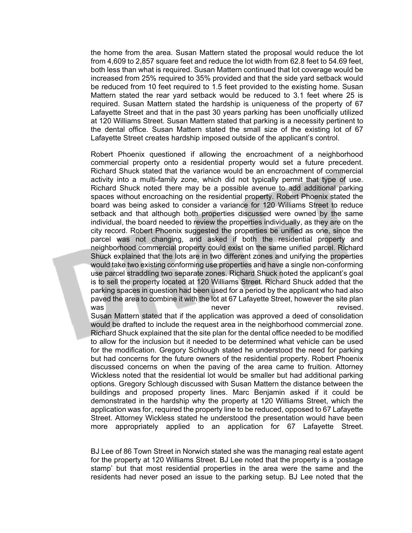the home from the area. Susan Mattern stated the proposal would reduce the lot from 4,609 to 2,857 square feet and reduce the lot width from 62.8 feet to 54.69 feet, both less than what is required. Susan Mattern continued that lot coverage would be increased from 25% required to 35% provided and that the side yard setback would be reduced from 10 feet required to 1.5 feet provided to the existing home. Susan Mattern stated the rear yard setback would be reduced to 3.1 feet where 25 is required. Susan Mattern stated the hardship is uniqueness of the property of 67 Lafayette Street and that in the past 30 years parking has been unofficially utilized at 120 Williams Street. Susan Mattern stated that parking is a necessity pertinent to the dental office. Susan Mattern stated the small size of the existing lot of 67 Lafayette Street creates hardship imposed outside of the applicant's control.

Robert Phoenix questioned if allowing the encroachment of a neighborhood commercial property onto a residential property would set a future precedent. Richard Shuck stated that the variance would be an encroachment of commercial activity into a multi-family zone, which did not typically permit that type of use. Richard Shuck noted there may be a possible avenue to add additional parking spaces without encroaching on the residential property. Robert Phoenix stated the board was being asked to consider a variance for 120 Williams Street to reduce setback and that although both properties discussed were owned by the same individual, the board needed to review the properties individually, as they are on the city record. Robert Phoenix suggested the properties be unified as one, since the parcel was not changing, and asked if both the residential property and neighborhood commercial property could exist on the same unified parcel. Richard Shuck explained that the lots are in two different zones and unifying the properties would take two existing conforming use properties and have a single non-conforming use parcel straddling two separate zones. Richard Shuck noted the applicant's goal is to sell the property located at 120 Williams Street. Richard Shuck added that the parking spaces in question had been used for a period by the applicant who had also paved the area to combine it with the lot at 67 Lafayette Street, however the site plan was never revised.

Susan Mattern stated that if the application was approved a deed of consolidation would be drafted to include the request area in the neighborhood commercial zone. Richard Shuck explained that the site plan for the dental office needed to be modified to allow for the inclusion but it needed to be determined what vehicle can be used for the modification. Gregory Schlough stated he understood the need for parking but had concerns for the future owners of the residential property. Robert Phoenix discussed concerns on when the paving of the area came to fruition. Attorney Wickless noted that the residential lot would be smaller but had additional parking options. Gregory Schlough discussed with Susan Mattern the distance between the buildings and proposed property lines. Marc Benjamin asked if it could be demonstrated in the hardship why the property at 120 Williams Street, which the application was for, required the property line to be reduced, opposed to 67 Lafayette Street. Attorney Wickless stated he understood the presentation would have been more appropriately applied to an application for 67 Lafayette Street.

BJ Lee of 86 Town Street in Norwich stated she was the managing real estate agent for the property at 120 Williams Street. BJ Lee noted that the property is a 'postage stamp' but that most residential properties in the area were the same and the residents had never posed an issue to the parking setup. BJ Lee noted that the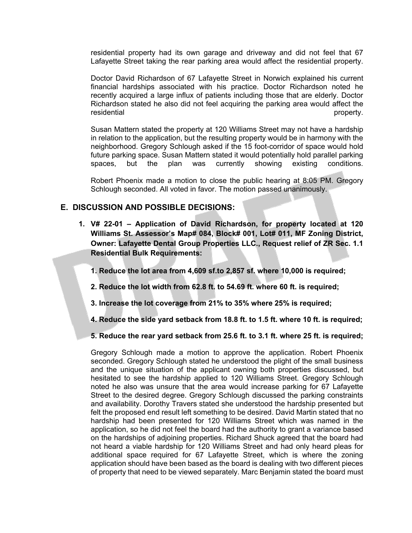residential property had its own garage and driveway and did not feel that 67 Lafayette Street taking the rear parking area would affect the residential property.

Doctor David Richardson of 67 Lafayette Street in Norwich explained his current financial hardships associated with his practice. Doctor Richardson noted he recently acquired a large influx of patients including those that are elderly. Doctor Richardson stated he also did not feel acquiring the parking area would affect the residential expression of the state of the state of the state of the property.

Susan Mattern stated the property at 120 Williams Street may not have a hardship in relation to the application, but the resulting property would be in harmony with the neighborhood. Gregory Schlough asked if the 15 foot-corridor of space would hold future parking space. Susan Mattern stated it would potentially hold parallel parking spaces, but the plan was currently showing existing conditions.

Robert Phoenix made a motion to close the public hearing at 8:05 PM. Gregory Schlough seconded. All voted in favor. The motion passed unanimously.

## **E. DISCUSSION AND POSSIBLE DECISIONS:**

- **1. V# 22-01 Application of David Richardson, for property located at 120 Williams St. Assessor's Map# 084, Block# 001, Lot# 011, MF Zoning District, Owner: Lafayette Dental Group Properties LLC., Request relief of ZR Sec. 1.1 Residential Bulk Requirements:**
	- **1. Reduce the lot area from 4,609 sf.to 2,857 sf. where 10,000 is required;**
	- **2. Reduce the lot width from 62.8 ft. to 54.69 ft. where 60 ft. is required;**
	- **3. Increase the lot coverage from 21% to 35% where 25% is required;**
	- **4. Reduce the side yard setback from 18.8 ft. to 1.5 ft. where 10 ft. is required;**
	- **5. Reduce the rear yard setback from 25.6 ft. to 3.1 ft. where 25 ft. is required;**

Gregory Schlough made a motion to approve the application. Robert Phoenix seconded. Gregory Schlough stated he understood the plight of the small business and the unique situation of the applicant owning both properties discussed, but hesitated to see the hardship applied to 120 Williams Street. Gregory Schlough noted he also was unsure that the area would increase parking for 67 Lafayette Street to the desired degree. Gregory Schlough discussed the parking constraints and availability. Dorothy Travers stated she understood the hardship presented but felt the proposed end result left something to be desired. David Martin stated that no hardship had been presented for 120 Williams Street which was named in the application, so he did not feel the board had the authority to grant a variance based on the hardships of adjoining properties. Richard Shuck agreed that the board had not heard a viable hardship for 120 Williams Street and had only heard pleas for additional space required for 67 Lafayette Street, which is where the zoning application should have been based as the board is dealing with two different pieces of property that need to be viewed separately. Marc Benjamin stated the board must